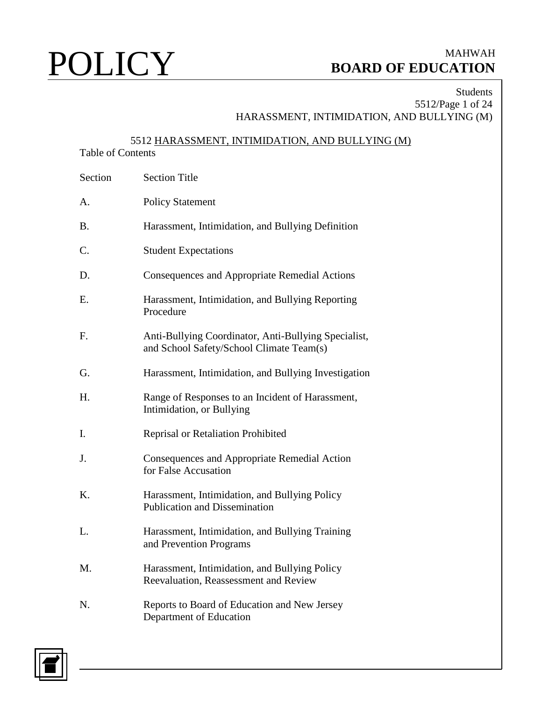### Students 5512/Page 1 of 24 HARASSMENT, INTIMIDATION, AND BULLYING (M)

## 5512 HARASSMENT, INTIMIDATION, AND BULLYING (M)

### Table of Contents

| Section | <b>Section Title</b>                                                                             |
|---------|--------------------------------------------------------------------------------------------------|
| A.      | <b>Policy Statement</b>                                                                          |
| B.      | Harassment, Intimidation, and Bullying Definition                                                |
| C.      | <b>Student Expectations</b>                                                                      |
| D.      | Consequences and Appropriate Remedial Actions                                                    |
| E.      | Harassment, Intimidation, and Bullying Reporting<br>Procedure                                    |
| F.      | Anti-Bullying Coordinator, Anti-Bullying Specialist,<br>and School Safety/School Climate Team(s) |
| G.      | Harassment, Intimidation, and Bullying Investigation                                             |
| Η.      | Range of Responses to an Incident of Harassment,<br>Intimidation, or Bullying                    |
| I.      | Reprisal or Retaliation Prohibited                                                               |
| J.      | Consequences and Appropriate Remedial Action<br>for False Accusation                             |
| K.      | Harassment, Intimidation, and Bullying Policy<br><b>Publication and Dissemination</b>            |
| L.      | Harassment, Intimidation, and Bullying Training<br>and Prevention Programs                       |
| M.      | Harassment, Intimidation, and Bullying Policy<br>Reevaluation, Reassessment and Review           |
| N.      | Reports to Board of Education and New Jersey<br>Department of Education                          |

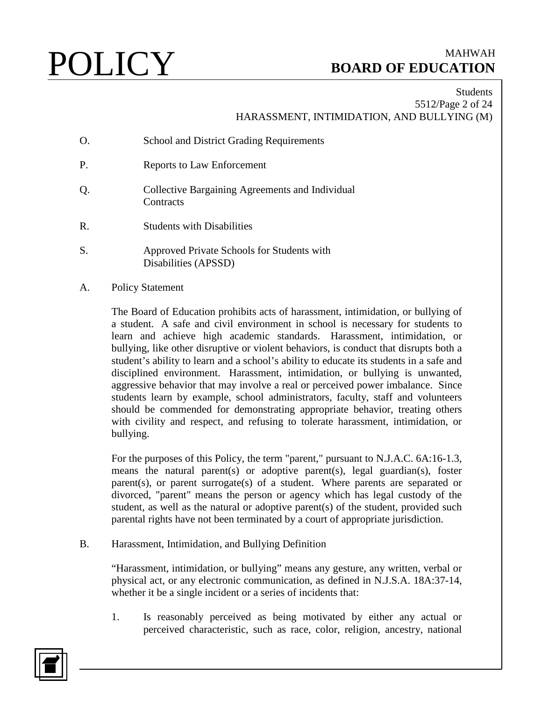### Students 5512/Page 2 of 24 HARASSMENT, INTIMIDATION, AND BULLYING (M)

- O. School and District Grading Requirements
- P. Reports to Law Enforcement
- Q. Collective Bargaining Agreements and Individual **Contracts**
- R. Students with Disabilities
- S. Approved Private Schools for Students with Disabilities (APSSD)
- A. Policy Statement

The Board of Education prohibits acts of harassment, intimidation, or bullying of a student. A safe and civil environment in school is necessary for students to learn and achieve high academic standards. Harassment, intimidation, or bullying, like other disruptive or violent behaviors, is conduct that disrupts both a student's ability to learn and a school's ability to educate its students in a safe and disciplined environment. Harassment, intimidation, or bullying is unwanted, aggressive behavior that may involve a real or perceived power imbalance. Since students learn by example, school administrators, faculty, staff and volunteers should be commended for demonstrating appropriate behavior, treating others with civility and respect, and refusing to tolerate harassment, intimidation, or bullying.

For the purposes of this Policy, the term "parent," pursuant to N.J.A.C. 6A:16-1.3, means the natural parent(s) or adoptive parent(s), legal guardian(s), foster parent(s), or parent surrogate(s) of a student. Where parents are separated or divorced, "parent" means the person or agency which has legal custody of the student, as well as the natural or adoptive parent(s) of the student, provided such parental rights have not been terminated by a court of appropriate jurisdiction.

B. Harassment, Intimidation, and Bullying Definition

"Harassment, intimidation, or bullying" means any gesture, any written, verbal or physical act, or any electronic communication, as defined in N.J.S.A. 18A:37-14, whether it be a single incident or a series of incidents that:

1. Is reasonably perceived as being motivated by either any actual or perceived characteristic, such as race, color, religion, ancestry, national

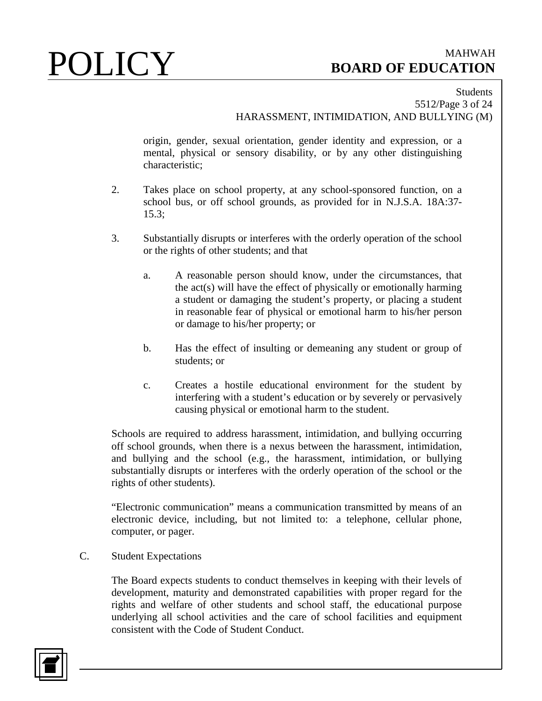### Students 5512/Page 3 of 24 HARASSMENT, INTIMIDATION, AND BULLYING (M)

origin, gender, sexual orientation, gender identity and expression, or a mental, physical or sensory disability, or by any other distinguishing characteristic;

- 2. Takes place on school property, at any school-sponsored function, on a school bus, or off school grounds, as provided for in N.J.S.A. 18A:37- 15.3;
- 3. Substantially disrupts or interferes with the orderly operation of the school or the rights of other students; and that
	- a. A reasonable person should know, under the circumstances, that the act(s) will have the effect of physically or emotionally harming a student or damaging the student's property, or placing a student in reasonable fear of physical or emotional harm to his/her person or damage to his/her property; or
	- b. Has the effect of insulting or demeaning any student or group of students; or
	- c. Creates a hostile educational environment for the student by interfering with a student's education or by severely or pervasively causing physical or emotional harm to the student.

Schools are required to address harassment, intimidation, and bullying occurring off school grounds, when there is a nexus between the harassment, intimidation, and bullying and the school (e.g., the harassment, intimidation, or bullying substantially disrupts or interferes with the orderly operation of the school or the rights of other students).

"Electronic communication" means a communication transmitted by means of an electronic device, including, but not limited to: a telephone, cellular phone, computer, or pager.

C. Student Expectations

The Board expects students to conduct themselves in keeping with their levels of development, maturity and demonstrated capabilities with proper regard for the rights and welfare of other students and school staff, the educational purpose underlying all school activities and the care of school facilities and equipment consistent with the Code of Student Conduct.

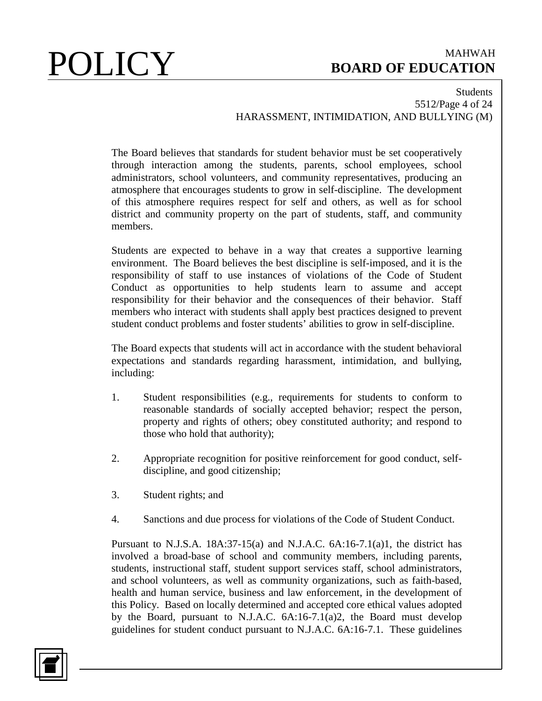### Students 5512/Page 4 of 24 HARASSMENT, INTIMIDATION, AND BULLYING (M)

The Board believes that standards for student behavior must be set cooperatively through interaction among the students, parents, school employees, school administrators, school volunteers, and community representatives, producing an atmosphere that encourages students to grow in self-discipline. The development of this atmosphere requires respect for self and others, as well as for school district and community property on the part of students, staff, and community members.

Students are expected to behave in a way that creates a supportive learning environment. The Board believes the best discipline is self-imposed, and it is the responsibility of staff to use instances of violations of the Code of Student Conduct as opportunities to help students learn to assume and accept responsibility for their behavior and the consequences of their behavior. Staff members who interact with students shall apply best practices designed to prevent student conduct problems and foster students' abilities to grow in self-discipline.

The Board expects that students will act in accordance with the student behavioral expectations and standards regarding harassment, intimidation, and bullying, including:

- 1. Student responsibilities (e.g., requirements for students to conform to reasonable standards of socially accepted behavior; respect the person, property and rights of others; obey constituted authority; and respond to those who hold that authority);
- 2. Appropriate recognition for positive reinforcement for good conduct, selfdiscipline, and good citizenship;
- 3. Student rights; and
- 4. Sanctions and due process for violations of the Code of Student Conduct.

Pursuant to N.J.S.A.  $18A:37-15(a)$  and N.J.A.C.  $6A:16-7.1(a)1$ , the district has involved a broad-base of school and community members, including parents, students, instructional staff, student support services staff, school administrators, and school volunteers, as well as community organizations, such as faith-based, health and human service, business and law enforcement, in the development of this Policy. Based on locally determined and accepted core ethical values adopted by the Board, pursuant to N.J.A.C. 6A:16-7.1(a)2, the Board must develop guidelines for student conduct pursuant to N.J.A.C. 6A:16-7.1. These guidelines

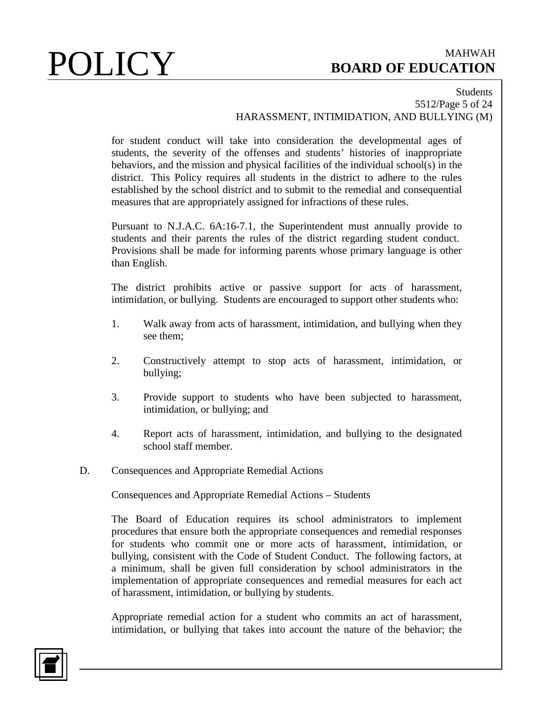### Students 5512/Page 5 of 24 HARASSMENT, INTIMIDATION, AND BULLYING (M)

for student conduct will take into consideration the developmental ages of students, the severity of the offenses and students' histories of inappropriate behaviors, and the mission and physical facilities of the individual school(s) in the district. This Policy requires all students in the district to adhere to the rules established by the school district and to submit to the remedial and consequential measures that are appropriately assigned for infractions of these rules.

Pursuant to N.J.A.C. 6A:16-7.1, the Superintendent must annually provide to students and their parents the rules of the district regarding student conduct. Provisions shall be made for informing parents whose primary language is other than English.

The district prohibits active or passive support for acts of harassment, intimidation, or bullying. Students are encouraged to support other students who:

- 1. Walk away from acts of harassment, intimidation, and bullying when they see them;
- 2. Constructively attempt to stop acts of harassment, intimidation, or bullying;
- 3. Provide support to students who have been subjected to harassment, intimidation, or bullying; and
- 4. Report acts of harassment, intimidation, and bullying to the designated school staff member.
- D. Consequences and Appropriate Remedial Actions

Consequences and Appropriate Remedial Actions – Students

The Board of Education requires its school administrators to implement procedures that ensure both the appropriate consequences and remedial responses for students who commit one or more acts of harassment, intimidation, or bullying, consistent with the Code of Student Conduct. The following factors, at a minimum, shall be given full consideration by school administrators in the implementation of appropriate consequences and remedial measures for each act of harassment, intimidation, or bullying by students.

Appropriate remedial action for a student who commits an act of harassment, intimidation, or bullying that takes into account the nature of the behavior; the

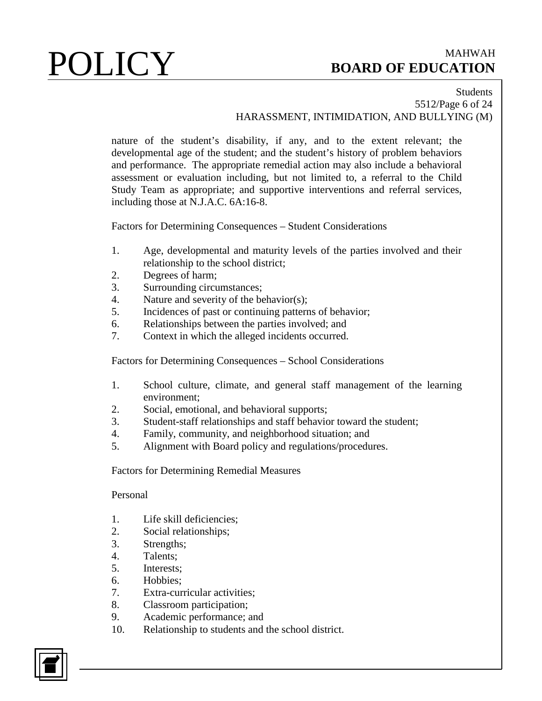### Students 5512/Page 6 of 24 HARASSMENT, INTIMIDATION, AND BULLYING (M)

nature of the student's disability, if any, and to the extent relevant; the developmental age of the student; and the student's history of problem behaviors and performance. The appropriate remedial action may also include a behavioral assessment or evaluation including, but not limited to, a referral to the Child Study Team as appropriate; and supportive interventions and referral services, including those at N.J.A.C. 6A:16-8.

Factors for Determining Consequences – Student Considerations

- 1. Age, developmental and maturity levels of the parties involved and their relationship to the school district;
- 2. Degrees of harm;
- 3. Surrounding circumstances;
- 4. Nature and severity of the behavior(s);
- 5. Incidences of past or continuing patterns of behavior;
- 6. Relationships between the parties involved; and
- 7. Context in which the alleged incidents occurred.

Factors for Determining Consequences – School Considerations

- 1. School culture, climate, and general staff management of the learning environment;
- 2. Social, emotional, and behavioral supports;
- 3. Student-staff relationships and staff behavior toward the student;
- 4. Family, community, and neighborhood situation; and
- 5. Alignment with Board policy and regulations/procedures.

Factors for Determining Remedial Measures

### Personal

- 1. Life skill deficiencies;
- 2. Social relationships;
- 3. Strengths;
- 4. Talents;
- 5. Interests;
- 6. Hobbies;
- 7. Extra-curricular activities;
- 8. Classroom participation;
- 9. Academic performance; and
- 10. Relationship to students and the school district.

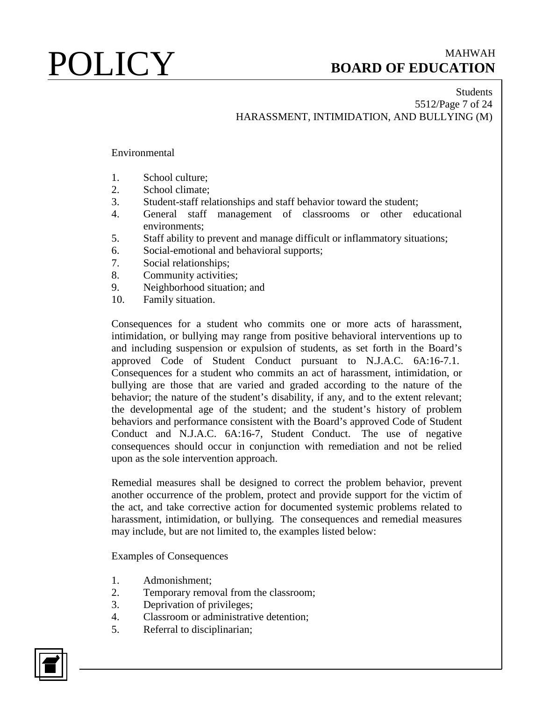### Students 5512/Page 7 of 24 HARASSMENT, INTIMIDATION, AND BULLYING (M)

### Environmental

- 1. School culture;
- 2. School climate;
- 3. Student-staff relationships and staff behavior toward the student;
- 4. General staff management of classrooms or other educational environments;
- 5. Staff ability to prevent and manage difficult or inflammatory situations;
- 6. Social-emotional and behavioral supports;
- 7. Social relationships;
- 8. Community activities;
- 9. Neighborhood situation; and
- 10. Family situation.

Consequences for a student who commits one or more acts of harassment, intimidation, or bullying may range from positive behavioral interventions up to and including suspension or expulsion of students, as set forth in the Board's approved Code of Student Conduct pursuant to N.J.A.C. 6A:16-7.1. Consequences for a student who commits an act of harassment, intimidation, or bullying are those that are varied and graded according to the nature of the behavior; the nature of the student's disability, if any, and to the extent relevant; the developmental age of the student; and the student's history of problem behaviors and performance consistent with the Board's approved Code of Student Conduct and N.J.A.C. 6A:16-7, Student Conduct. The use of negative consequences should occur in conjunction with remediation and not be relied upon as the sole intervention approach.

Remedial measures shall be designed to correct the problem behavior, prevent another occurrence of the problem, protect and provide support for the victim of the act, and take corrective action for documented systemic problems related to harassment, intimidation, or bullying. The consequences and remedial measures may include, but are not limited to, the examples listed below:

Examples of Consequences

- 1. Admonishment;
- 2. Temporary removal from the classroom;
- 3. Deprivation of privileges;
- 4. Classroom or administrative detention;
- 5. Referral to disciplinarian;

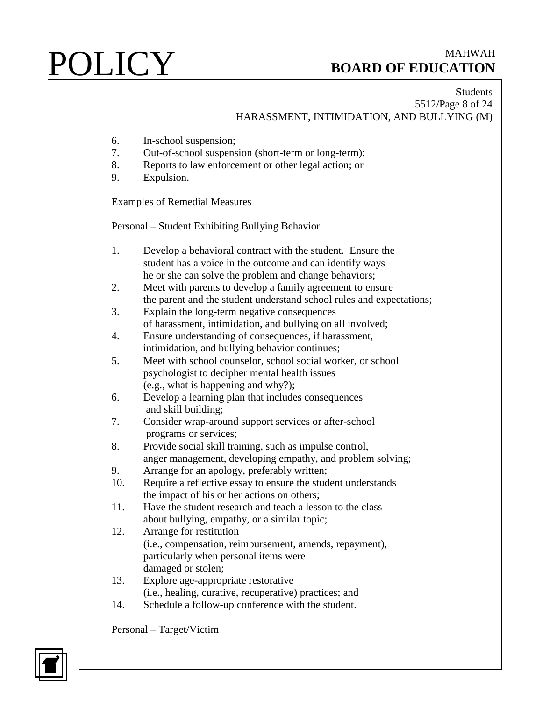### Students 5512/Page 8 of 24 HARASSMENT, INTIMIDATION, AND BULLYING (M)

- 6. In-school suspension;
- 7. Out-of-school suspension (short-term or long-term);
- 8. Reports to law enforcement or other legal action; or
- 9. Expulsion.

Examples of Remedial Measures

Personal – Student Exhibiting Bullying Behavior

- 1. Develop a behavioral contract with the student. Ensure the student has a voice in the outcome and can identify ways he or she can solve the problem and change behaviors;
- 2. Meet with parents to develop a family agreement to ensure the parent and the student understand school rules and expectations;
- 3. Explain the long-term negative consequences of harassment, intimidation, and bullying on all involved;
- 4. Ensure understanding of consequences, if harassment, intimidation, and bullying behavior continues;
- 5. Meet with school counselor, school social worker, or school psychologist to decipher mental health issues (e.g., what is happening and why?);
- 6. Develop a learning plan that includes consequences and skill building;
- 7. Consider wrap-around support services or after-school programs or services;
- 8. Provide social skill training, such as impulse control, anger management, developing empathy, and problem solving;
- 9. Arrange for an apology, preferably written;
- 10. Require a reflective essay to ensure the student understands the impact of his or her actions on others;
- 11. Have the student research and teach a lesson to the class about bullying, empathy, or a similar topic;
- 12. Arrange for restitution (i.e., compensation, reimbursement, amends, repayment), particularly when personal items were damaged or stolen;
- 13. Explore age-appropriate restorative (i.e., healing, curative, recuperative) practices; and
- 14. Schedule a follow-up conference with the student.

Personal – Target/Victim

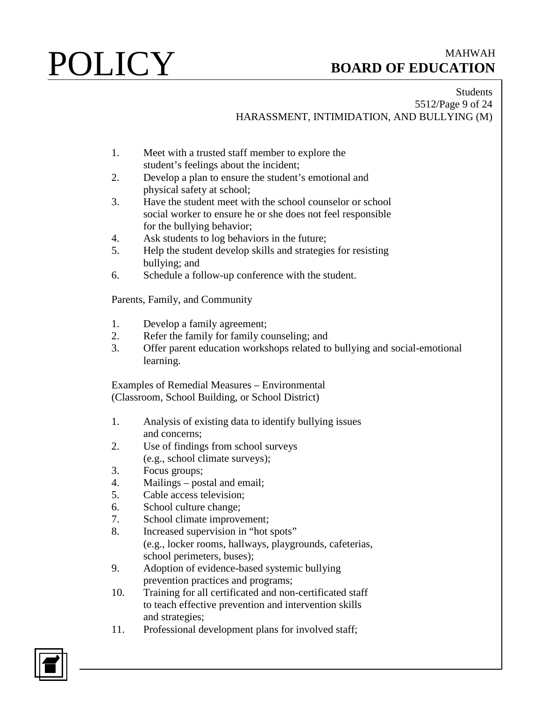### Students 5512/Page 9 of 24 HARASSMENT, INTIMIDATION, AND BULLYING (M)

- 1. Meet with a trusted staff member to explore the student's feelings about the incident;
- 2. Develop a plan to ensure the student's emotional and physical safety at school;
- 3. Have the student meet with the school counselor or school social worker to ensure he or she does not feel responsible for the bullying behavior;
- 4. Ask students to log behaviors in the future;
- 5. Help the student develop skills and strategies for resisting bullying; and
- 6. Schedule a follow-up conference with the student.

Parents, Family, and Community

- 1. Develop a family agreement;
- 2. Refer the family for family counseling; and
- 3. Offer parent education workshops related to bullying and social-emotional learning.

Examples of Remedial Measures – Environmental (Classroom, School Building, or School District)

- 1. Analysis of existing data to identify bullying issues and concerns;
- 2. Use of findings from school surveys (e.g., school climate surveys);
- 3. Focus groups;
- 4. Mailings postal and email;
- 5. Cable access television;
- 6. School culture change;
- 7. School climate improvement;
- 8. Increased supervision in "hot spots" (e.g., locker rooms, hallways, playgrounds, cafeterias, school perimeters, buses);
- 9. Adoption of evidence-based systemic bullying prevention practices and programs;
- 10. Training for all certificated and non-certificated staff to teach effective prevention and intervention skills and strategies;
- 11. Professional development plans for involved staff;

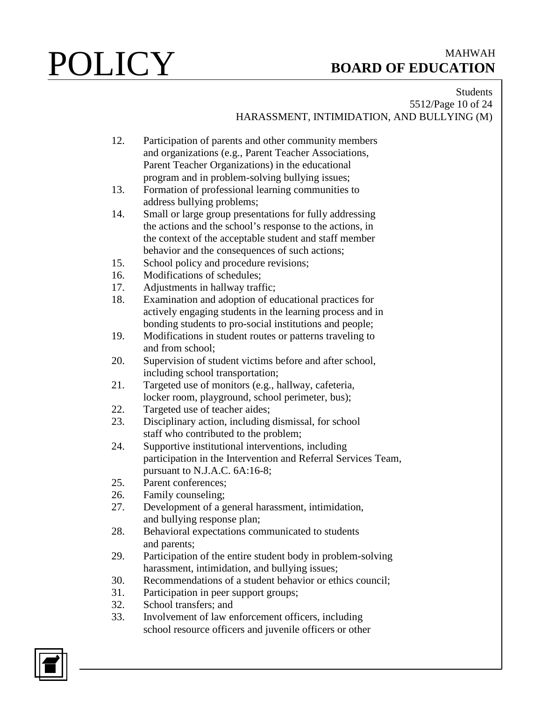### Students 5512/Page 10 of 24 HARASSMENT, INTIMIDATION, AND BULLYING (M)

- 12. Participation of parents and other community members and organizations (e.g., Parent Teacher Associations, Parent Teacher Organizations) in the educational program and in problem-solving bullying issues;
- 13. Formation of professional learning communities to address bullying problems;
- 14. Small or large group presentations for fully addressing the actions and the school's response to the actions, in the context of the acceptable student and staff member behavior and the consequences of such actions;
- 15. School policy and procedure revisions;
- 16. Modifications of schedules;
- 17. Adjustments in hallway traffic;
- 18. Examination and adoption of educational practices for actively engaging students in the learning process and in bonding students to pro-social institutions and people;
- 19. Modifications in student routes or patterns traveling to and from school;
- 20. Supervision of student victims before and after school, including school transportation;
- 21. Targeted use of monitors (e.g., hallway, cafeteria, locker room, playground, school perimeter, bus);
- 22. Targeted use of teacher aides;
- 23. Disciplinary action, including dismissal, for school staff who contributed to the problem;
- 24. Supportive institutional interventions, including participation in the Intervention and Referral Services Team, pursuant to N.J.A.C. 6A:16-8;
- 25. Parent conferences;
- 26. Family counseling;
- 27. Development of a general harassment, intimidation, and bullying response plan;
- 28. Behavioral expectations communicated to students and parents;
- 29. Participation of the entire student body in problem-solving harassment, intimidation, and bullying issues;
- 30. Recommendations of a student behavior or ethics council;
- 31. Participation in peer support groups;
- 32. School transfers; and
- 33. Involvement of law enforcement officers, including school resource officers and juvenile officers or other

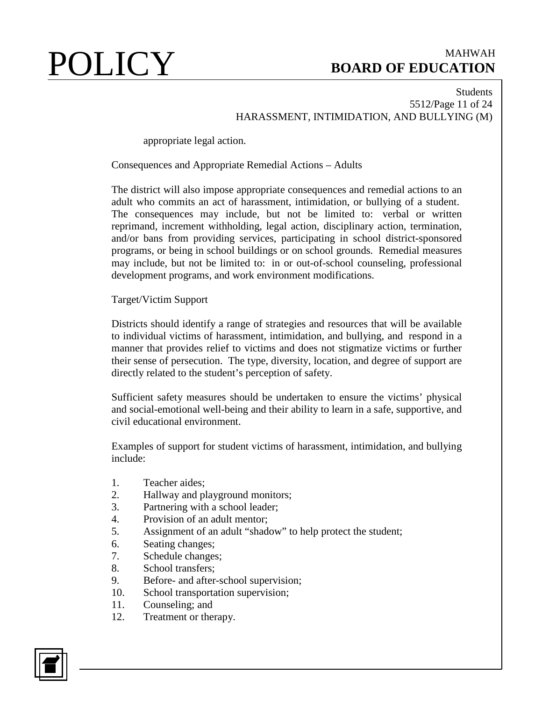### Students 5512/Page 11 of 24 HARASSMENT, INTIMIDATION, AND BULLYING (M)

appropriate legal action.

### Consequences and Appropriate Remedial Actions – Adults

The district will also impose appropriate consequences and remedial actions to an adult who commits an act of harassment, intimidation, or bullying of a student. The consequences may include, but not be limited to: verbal or written reprimand, increment withholding, legal action, disciplinary action, termination, and/or bans from providing services, participating in school district-sponsored programs, or being in school buildings or on school grounds. Remedial measures may include, but not be limited to: in or out-of-school counseling, professional development programs, and work environment modifications.

Target/Victim Support

Districts should identify a range of strategies and resources that will be available to individual victims of harassment, intimidation, and bullying, and respond in a manner that provides relief to victims and does not stigmatize victims or further their sense of persecution. The type, diversity, location, and degree of support are directly related to the student's perception of safety.

Sufficient safety measures should be undertaken to ensure the victims' physical and social-emotional well-being and their ability to learn in a safe, supportive, and civil educational environment.

Examples of support for student victims of harassment, intimidation, and bullying include:

- 1. Teacher aides;<br>2. Hallway and p.
- Hallway and playground monitors;
- 3. Partnering with a school leader;
- 4. Provision of an adult mentor;
- 5. Assignment of an adult "shadow" to help protect the student;
- 6. Seating changes;
- 7. Schedule changes;
- 8. School transfers;
- 9. Before- and after-school supervision;
- 10. School transportation supervision;
- 11. Counseling; and
- 12. Treatment or therapy.

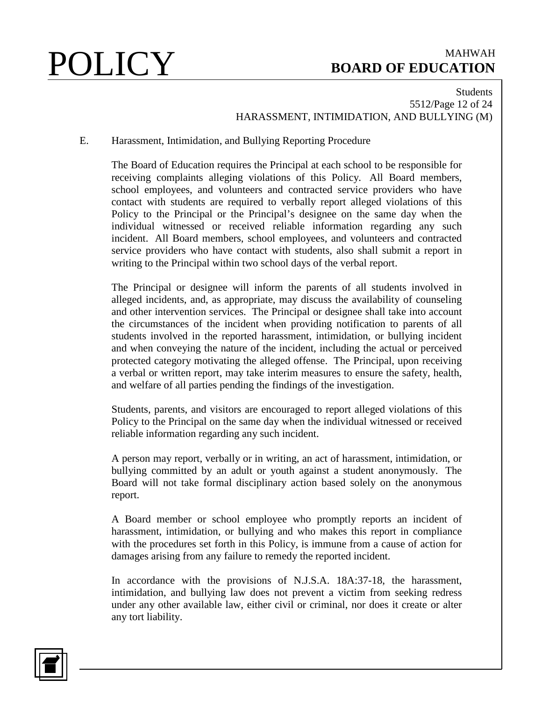### Students 5512/Page 12 of 24 HARASSMENT, INTIMIDATION, AND BULLYING (M)

### E. Harassment, Intimidation, and Bullying Reporting Procedure

The Board of Education requires the Principal at each school to be responsible for receiving complaints alleging violations of this Policy. All Board members, school employees, and volunteers and contracted service providers who have contact with students are required to verbally report alleged violations of this Policy to the Principal or the Principal's designee on the same day when the individual witnessed or received reliable information regarding any such incident. All Board members, school employees, and volunteers and contracted service providers who have contact with students, also shall submit a report in writing to the Principal within two school days of the verbal report.

The Principal or designee will inform the parents of all students involved in alleged incidents, and, as appropriate, may discuss the availability of counseling and other intervention services. The Principal or designee shall take into account the circumstances of the incident when providing notification to parents of all students involved in the reported harassment, intimidation, or bullying incident and when conveying the nature of the incident, including the actual or perceived protected category motivating the alleged offense. The Principal, upon receiving a verbal or written report, may take interim measures to ensure the safety, health, and welfare of all parties pending the findings of the investigation.

Students, parents, and visitors are encouraged to report alleged violations of this Policy to the Principal on the same day when the individual witnessed or received reliable information regarding any such incident.

A person may report, verbally or in writing, an act of harassment, intimidation, or bullying committed by an adult or youth against a student anonymously. The Board will not take formal disciplinary action based solely on the anonymous report.

A Board member or school employee who promptly reports an incident of harassment, intimidation, or bullying and who makes this report in compliance with the procedures set forth in this Policy, is immune from a cause of action for damages arising from any failure to remedy the reported incident.

In accordance with the provisions of N.J.S.A. 18A:37-18, the harassment, intimidation, and bullying law does not prevent a victim from seeking redress under any other available law, either civil or criminal, nor does it create or alter any tort liability.

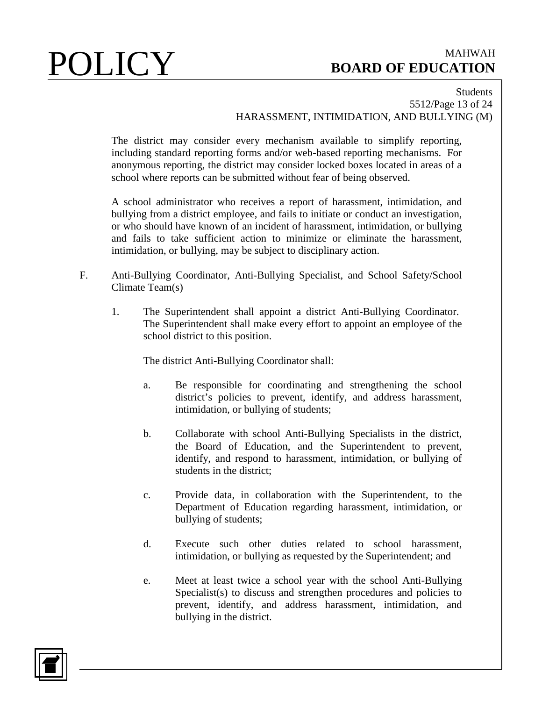### Students 5512/Page 13 of 24 HARASSMENT, INTIMIDATION, AND BULLYING (M)

The district may consider every mechanism available to simplify reporting, including standard reporting forms and/or web-based reporting mechanisms. For anonymous reporting, the district may consider locked boxes located in areas of a school where reports can be submitted without fear of being observed.

A school administrator who receives a report of harassment, intimidation, and bullying from a district employee, and fails to initiate or conduct an investigation, or who should have known of an incident of harassment, intimidation, or bullying and fails to take sufficient action to minimize or eliminate the harassment, intimidation, or bullying, may be subject to disciplinary action.

- F. Anti-Bullying Coordinator, Anti-Bullying Specialist, and School Safety/School Climate Team(s)
	- 1. The Superintendent shall appoint a district Anti-Bullying Coordinator. The Superintendent shall make every effort to appoint an employee of the school district to this position.

The district Anti-Bullying Coordinator shall:

- a. Be responsible for coordinating and strengthening the school district's policies to prevent, identify, and address harassment, intimidation, or bullying of students;
- b. Collaborate with school Anti-Bullying Specialists in the district, the Board of Education, and the Superintendent to prevent, identify, and respond to harassment, intimidation, or bullying of students in the district;
- c. Provide data, in collaboration with the Superintendent, to the Department of Education regarding harassment, intimidation, or bullying of students;
- d. Execute such other duties related to school harassment, intimidation, or bullying as requested by the Superintendent; and
- e. Meet at least twice a school year with the school Anti-Bullying Specialist(s) to discuss and strengthen procedures and policies to prevent, identify, and address harassment, intimidation, and bullying in the district.

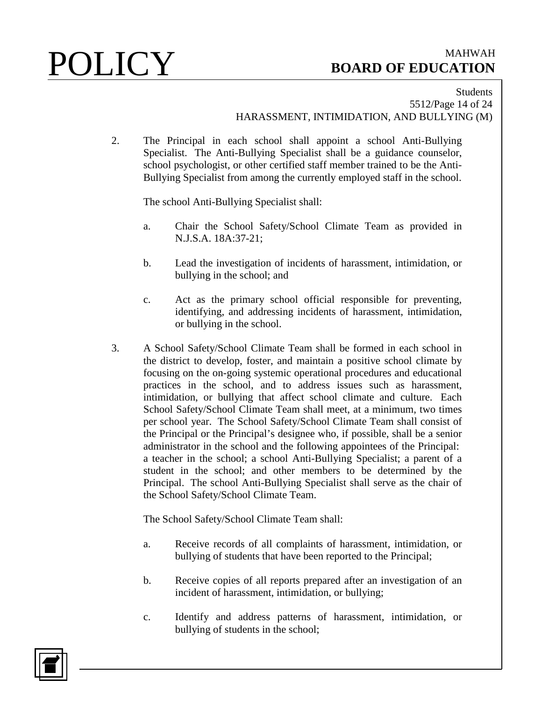### Students 5512/Page 14 of 24 HARASSMENT, INTIMIDATION, AND BULLYING (M)

2. The Principal in each school shall appoint a school Anti-Bullying Specialist. The Anti-Bullying Specialist shall be a guidance counselor, school psychologist, or other certified staff member trained to be the Anti-Bullying Specialist from among the currently employed staff in the school.

The school Anti-Bullying Specialist shall:

- a. Chair the School Safety/School Climate Team as provided in N.J.S.A. 18A:37-21;
- b. Lead the investigation of incidents of harassment, intimidation, or bullying in the school; and
- c. Act as the primary school official responsible for preventing, identifying, and addressing incidents of harassment, intimidation, or bullying in the school.
- 3. A School Safety/School Climate Team shall be formed in each school in the district to develop, foster, and maintain a positive school climate by focusing on the on-going systemic operational procedures and educational practices in the school, and to address issues such as harassment, intimidation, or bullying that affect school climate and culture. Each School Safety/School Climate Team shall meet, at a minimum, two times per school year. The School Safety/School Climate Team shall consist of the Principal or the Principal's designee who, if possible, shall be a senior administrator in the school and the following appointees of the Principal: a teacher in the school; a school Anti-Bullying Specialist; a parent of a student in the school; and other members to be determined by the Principal. The school Anti-Bullying Specialist shall serve as the chair of the School Safety/School Climate Team.

The School Safety/School Climate Team shall:

- a. Receive records of all complaints of harassment, intimidation, or bullying of students that have been reported to the Principal;
- b. Receive copies of all reports prepared after an investigation of an incident of harassment, intimidation, or bullying;
- c. Identify and address patterns of harassment, intimidation, or bullying of students in the school;

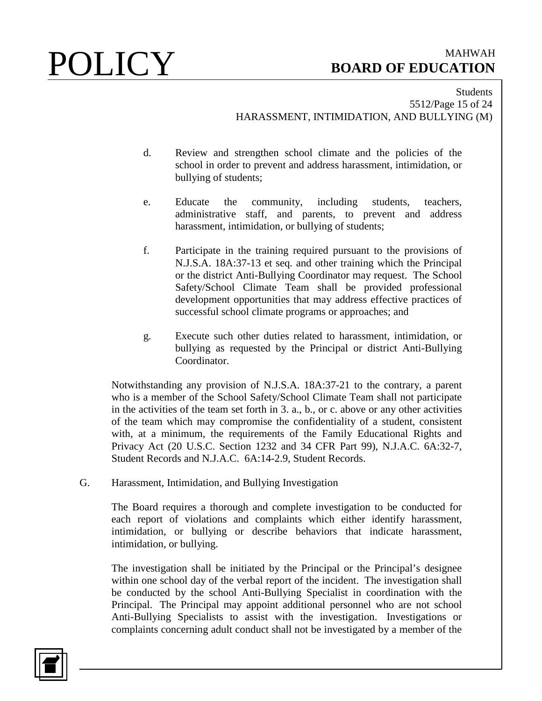### Students 5512/Page 15 of 24 HARASSMENT, INTIMIDATION, AND BULLYING (M)

- d. Review and strengthen school climate and the policies of the school in order to prevent and address harassment, intimidation, or bullying of students;
- e. Educate the community, including students, teachers, administrative staff, and parents, to prevent and address harassment, intimidation, or bullying of students;
- f. Participate in the training required pursuant to the provisions of N.J.S.A. 18A:37-13 et seq. and other training which the Principal or the district Anti-Bullying Coordinator may request. The School Safety/School Climate Team shall be provided professional development opportunities that may address effective practices of successful school climate programs or approaches; and
- g. Execute such other duties related to harassment, intimidation, or bullying as requested by the Principal or district Anti-Bullying Coordinator.

Notwithstanding any provision of N.J.S.A. 18A:37-21 to the contrary, a parent who is a member of the School Safety/School Climate Team shall not participate in the activities of the team set forth in 3. a., b., or c. above or any other activities of the team which may compromise the confidentiality of a student, consistent with, at a minimum, the requirements of the Family Educational Rights and Privacy Act (20 U.S.C. Section 1232 and 34 CFR Part 99), N.J.A.C. 6A:32-7, Student Records and N.J.A.C. 6A:14-2.9, Student Records.

G. Harassment, Intimidation, and Bullying Investigation

The Board requires a thorough and complete investigation to be conducted for each report of violations and complaints which either identify harassment, intimidation, or bullying or describe behaviors that indicate harassment, intimidation, or bullying.

The investigation shall be initiated by the Principal or the Principal's designee within one school day of the verbal report of the incident. The investigation shall be conducted by the school Anti-Bullying Specialist in coordination with the Principal. The Principal may appoint additional personnel who are not school Anti-Bullying Specialists to assist with the investigation. Investigations or complaints concerning adult conduct shall not be investigated by a member of the

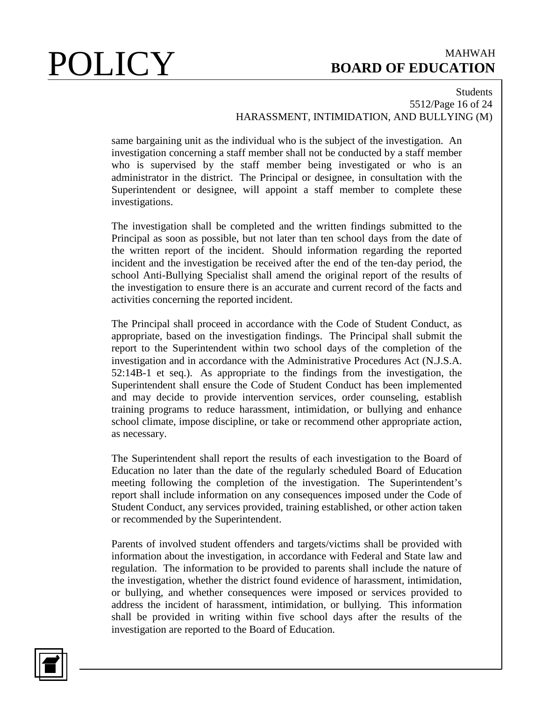### Students 5512/Page 16 of 24 HARASSMENT, INTIMIDATION, AND BULLYING (M)

same bargaining unit as the individual who is the subject of the investigation. An investigation concerning a staff member shall not be conducted by a staff member who is supervised by the staff member being investigated or who is an administrator in the district. The Principal or designee, in consultation with the Superintendent or designee, will appoint a staff member to complete these investigations.

The investigation shall be completed and the written findings submitted to the Principal as soon as possible, but not later than ten school days from the date of the written report of the incident. Should information regarding the reported incident and the investigation be received after the end of the ten-day period, the school Anti-Bullying Specialist shall amend the original report of the results of the investigation to ensure there is an accurate and current record of the facts and activities concerning the reported incident.

The Principal shall proceed in accordance with the Code of Student Conduct, as appropriate, based on the investigation findings. The Principal shall submit the report to the Superintendent within two school days of the completion of the investigation and in accordance with the Administrative Procedures Act (N.J.S.A. 52:14B-1 et seq.). As appropriate to the findings from the investigation, the Superintendent shall ensure the Code of Student Conduct has been implemented and may decide to provide intervention services, order counseling, establish training programs to reduce harassment, intimidation, or bullying and enhance school climate, impose discipline, or take or recommend other appropriate action, as necessary.

The Superintendent shall report the results of each investigation to the Board of Education no later than the date of the regularly scheduled Board of Education meeting following the completion of the investigation. The Superintendent's report shall include information on any consequences imposed under the Code of Student Conduct, any services provided, training established, or other action taken or recommended by the Superintendent.

Parents of involved student offenders and targets/victims shall be provided with information about the investigation, in accordance with Federal and State law and regulation. The information to be provided to parents shall include the nature of the investigation, whether the district found evidence of harassment, intimidation, or bullying, and whether consequences were imposed or services provided to address the incident of harassment, intimidation, or bullying. This information shall be provided in writing within five school days after the results of the investigation are reported to the Board of Education.

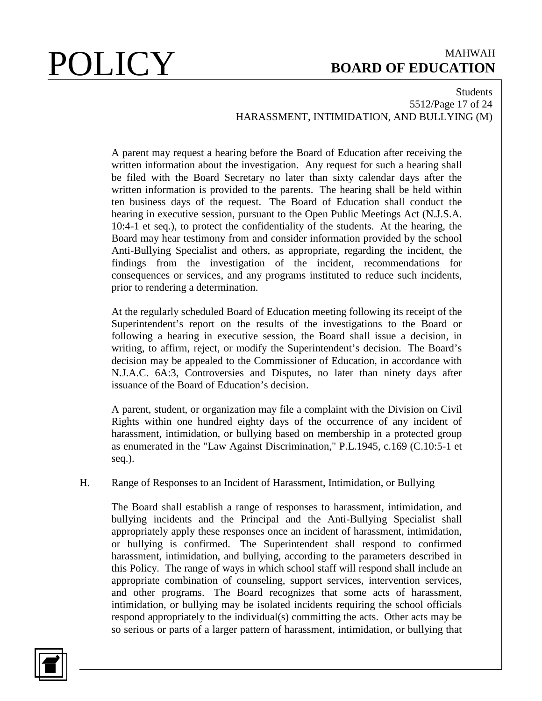### Students 5512/Page 17 of 24 HARASSMENT, INTIMIDATION, AND BULLYING (M)

A parent may request a hearing before the Board of Education after receiving the written information about the investigation. Any request for such a hearing shall be filed with the Board Secretary no later than sixty calendar days after the written information is provided to the parents. The hearing shall be held within ten business days of the request. The Board of Education shall conduct the hearing in executive session, pursuant to the Open Public Meetings Act (N.J.S.A. 10:4-1 et seq.), to protect the confidentiality of the students. At the hearing, the Board may hear testimony from and consider information provided by the school Anti-Bullying Specialist and others, as appropriate, regarding the incident, the findings from the investigation of the incident, recommendations for consequences or services, and any programs instituted to reduce such incidents, prior to rendering a determination.

At the regularly scheduled Board of Education meeting following its receipt of the Superintendent's report on the results of the investigations to the Board or following a hearing in executive session, the Board shall issue a decision, in writing, to affirm, reject, or modify the Superintendent's decision. The Board's decision may be appealed to the Commissioner of Education, in accordance with N.J.A.C. 6A:3, Controversies and Disputes, no later than ninety days after issuance of the Board of Education's decision.

A parent, student, or organization may file a complaint with the Division on Civil Rights within one hundred eighty days of the occurrence of any incident of harassment, intimidation, or bullying based on membership in a protected group as enumerated in the "Law Against Discrimination," P.L.1945, c.169 (C.10:5-1 et seq.).

H. Range of Responses to an Incident of Harassment, Intimidation, or Bullying

The Board shall establish a range of responses to harassment, intimidation, and bullying incidents and the Principal and the Anti-Bullying Specialist shall appropriately apply these responses once an incident of harassment, intimidation, or bullying is confirmed. The Superintendent shall respond to confirmed harassment, intimidation, and bullying, according to the parameters described in this Policy. The range of ways in which school staff will respond shall include an appropriate combination of counseling, support services, intervention services, and other programs. The Board recognizes that some acts of harassment, intimidation, or bullying may be isolated incidents requiring the school officials respond appropriately to the individual(s) committing the acts. Other acts may be so serious or parts of a larger pattern of harassment, intimidation, or bullying that

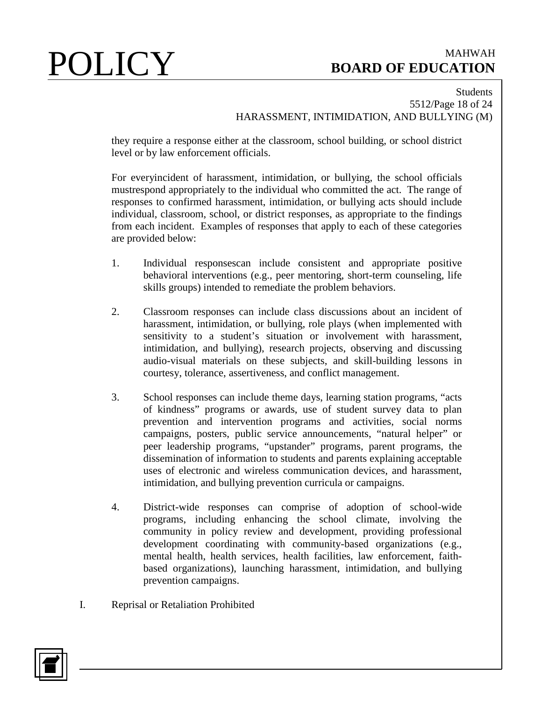### Students 5512/Page 18 of 24 HARASSMENT, INTIMIDATION, AND BULLYING (M)

they require a response either at the classroom, school building, or school district level or by law enforcement officials.

For everyincident of harassment, intimidation, or bullying, the school officials mustrespond appropriately to the individual who committed the act. The range of responses to confirmed harassment, intimidation, or bullying acts should include individual, classroom, school, or district responses, as appropriate to the findings from each incident. Examples of responses that apply to each of these categories are provided below:

- 1. Individual responsescan include consistent and appropriate positive behavioral interventions (e.g., peer mentoring, short-term counseling, life skills groups) intended to remediate the problem behaviors.
- 2. Classroom responses can include class discussions about an incident of harassment, intimidation, or bullying, role plays (when implemented with sensitivity to a student's situation or involvement with harassment, intimidation, and bullying), research projects, observing and discussing audio-visual materials on these subjects, and skill-building lessons in courtesy, tolerance, assertiveness, and conflict management.
- 3. School responses can include theme days, learning station programs, "acts of kindness" programs or awards, use of student survey data to plan prevention and intervention programs and activities, social norms campaigns, posters, public service announcements, "natural helper" or peer leadership programs, "upstander" programs, parent programs, the dissemination of information to students and parents explaining acceptable uses of electronic and wireless communication devices, and harassment, intimidation, and bullying prevention curricula or campaigns.
- 4. District-wide responses can comprise of adoption of school-wide programs, including enhancing the school climate, involving the community in policy review and development, providing professional development coordinating with community-based organizations (e.g., mental health, health services, health facilities, law enforcement, faithbased organizations), launching harassment, intimidation, and bullying prevention campaigns.
- I. Reprisal or Retaliation Prohibited

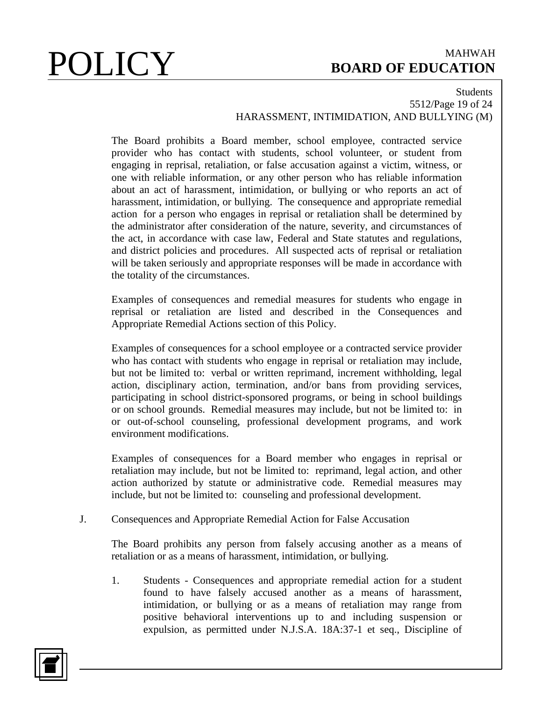### Students 5512/Page 19 of 24 HARASSMENT, INTIMIDATION, AND BULLYING (M)

The Board prohibits a Board member, school employee, contracted service provider who has contact with students, school volunteer, or student from engaging in reprisal, retaliation, or false accusation against a victim, witness, or one with reliable information, or any other person who has reliable information about an act of harassment, intimidation, or bullying or who reports an act of harassment, intimidation, or bullying. The consequence and appropriate remedial action for a person who engages in reprisal or retaliation shall be determined by the administrator after consideration of the nature, severity, and circumstances of the act, in accordance with case law, Federal and State statutes and regulations, and district policies and procedures. All suspected acts of reprisal or retaliation will be taken seriously and appropriate responses will be made in accordance with the totality of the circumstances.

Examples of consequences and remedial measures for students who engage in reprisal or retaliation are listed and described in the Consequences and Appropriate Remedial Actions section of this Policy.

Examples of consequences for a school employee or a contracted service provider who has contact with students who engage in reprisal or retaliation may include, but not be limited to: verbal or written reprimand, increment withholding, legal action, disciplinary action, termination, and/or bans from providing services, participating in school district-sponsored programs, or being in school buildings or on school grounds. Remedial measures may include, but not be limited to: in or out-of-school counseling, professional development programs, and work environment modifications.

Examples of consequences for a Board member who engages in reprisal or retaliation may include, but not be limited to: reprimand, legal action, and other action authorized by statute or administrative code. Remedial measures may include, but not be limited to: counseling and professional development.

J. Consequences and Appropriate Remedial Action for False Accusation

The Board prohibits any person from falsely accusing another as a means of retaliation or as a means of harassment, intimidation, or bullying.

1. Students - Consequences and appropriate remedial action for a student found to have falsely accused another as a means of harassment, intimidation, or bullying or as a means of retaliation may range from positive behavioral interventions up to and including suspension or expulsion, as permitted under N.J.S.A. 18A:37-1 et seq., Discipline of

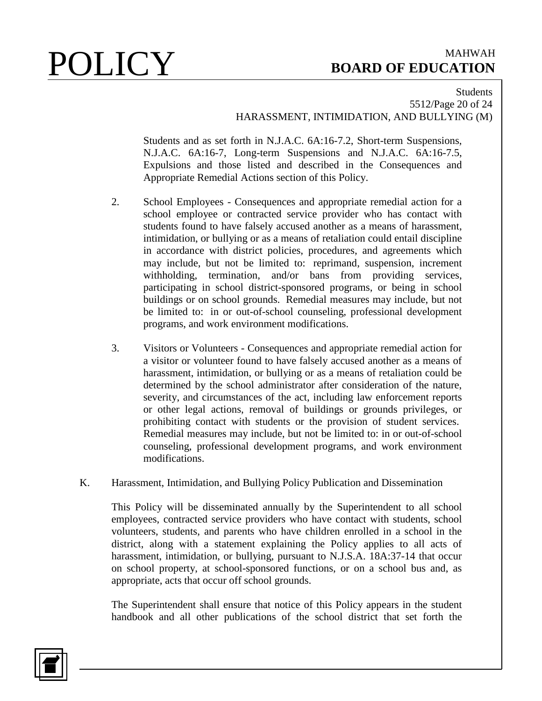### Students 5512/Page 20 of 24 HARASSMENT, INTIMIDATION, AND BULLYING (M)

Students and as set forth in N.J.A.C. 6A:16-7.2, Short-term Suspensions, N.J.A.C. 6A:16-7, Long-term Suspensions and N.J.A.C. 6A:16-7.5, Expulsions and those listed and described in the Consequences and Appropriate Remedial Actions section of this Policy.

- 2. School Employees Consequences and appropriate remedial action for a school employee or contracted service provider who has contact with students found to have falsely accused another as a means of harassment, intimidation, or bullying or as a means of retaliation could entail discipline in accordance with district policies, procedures, and agreements which may include, but not be limited to: reprimand, suspension, increment withholding, termination, and/or bans from providing services, participating in school district-sponsored programs, or being in school buildings or on school grounds. Remedial measures may include, but not be limited to: in or out-of-school counseling, professional development programs, and work environment modifications.
- 3. Visitors or Volunteers Consequences and appropriate remedial action for a visitor or volunteer found to have falsely accused another as a means of harassment, intimidation, or bullying or as a means of retaliation could be determined by the school administrator after consideration of the nature, severity, and circumstances of the act, including law enforcement reports or other legal actions, removal of buildings or grounds privileges, or prohibiting contact with students or the provision of student services. Remedial measures may include, but not be limited to: in or out-of-school counseling, professional development programs, and work environment modifications.
- K. Harassment, Intimidation, and Bullying Policy Publication and Dissemination

This Policy will be disseminated annually by the Superintendent to all school employees, contracted service providers who have contact with students, school volunteers, students, and parents who have children enrolled in a school in the district, along with a statement explaining the Policy applies to all acts of harassment, intimidation, or bullying, pursuant to N.J.S.A. 18A:37-14 that occur on school property, at school-sponsored functions, or on a school bus and, as appropriate, acts that occur off school grounds.

The Superintendent shall ensure that notice of this Policy appears in the student handbook and all other publications of the school district that set forth the

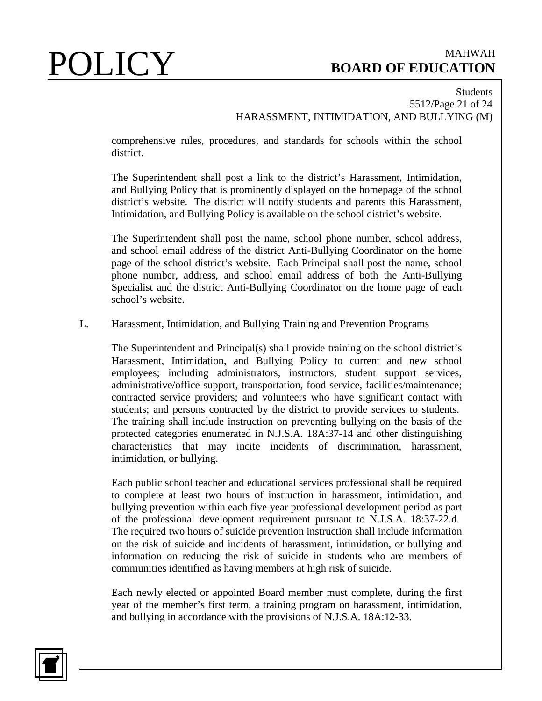### Students 5512/Page 21 of 24 HARASSMENT, INTIMIDATION, AND BULLYING (M)

comprehensive rules, procedures, and standards for schools within the school district.

The Superintendent shall post a link to the district's Harassment, Intimidation, and Bullying Policy that is prominently displayed on the homepage of the school district's website. The district will notify students and parents this Harassment, Intimidation, and Bullying Policy is available on the school district's website.

The Superintendent shall post the name, school phone number, school address, and school email address of the district Anti-Bullying Coordinator on the home page of the school district's website. Each Principal shall post the name, school phone number, address, and school email address of both the Anti-Bullying Specialist and the district Anti-Bullying Coordinator on the home page of each school's website.

### L. Harassment, Intimidation, and Bullying Training and Prevention Programs

The Superintendent and Principal(s) shall provide training on the school district's Harassment, Intimidation, and Bullying Policy to current and new school employees; including administrators, instructors, student support services, administrative/office support, transportation, food service, facilities/maintenance; contracted service providers; and volunteers who have significant contact with students; and persons contracted by the district to provide services to students. The training shall include instruction on preventing bullying on the basis of the protected categories enumerated in N.J.S.A. 18A:37-14 and other distinguishing characteristics that may incite incidents of discrimination, harassment, intimidation, or bullying.

Each public school teacher and educational services professional shall be required to complete at least two hours of instruction in harassment, intimidation, and bullying prevention within each five year professional development period as part of the professional development requirement pursuant to N.J.S.A. 18:37-22.d. The required two hours of suicide prevention instruction shall include information on the risk of suicide and incidents of harassment, intimidation, or bullying and information on reducing the risk of suicide in students who are members of communities identified as having members at high risk of suicide.

Each newly elected or appointed Board member must complete, during the first year of the member's first term, a training program on harassment, intimidation, and bullying in accordance with the provisions of N.J.S.A. 18A:12-33.

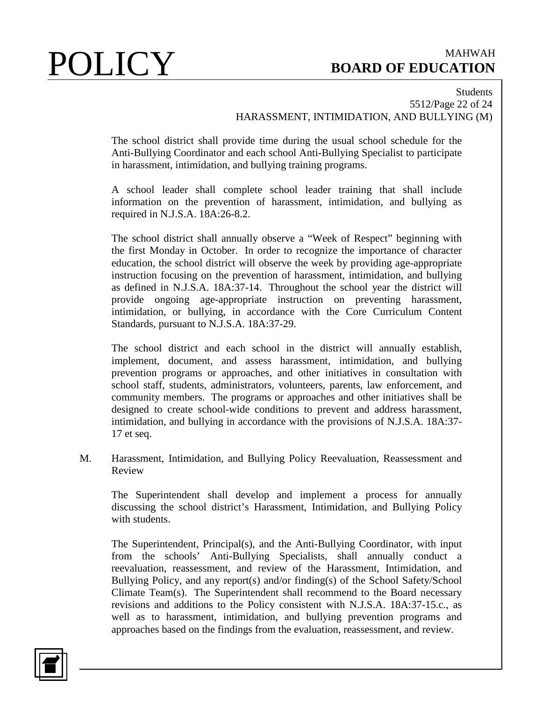### Students 5512/Page 22 of 24 HARASSMENT, INTIMIDATION, AND BULLYING (M)

The school district shall provide time during the usual school schedule for the Anti-Bullying Coordinator and each school Anti-Bullying Specialist to participate in harassment, intimidation, and bullying training programs.

A school leader shall complete school leader training that shall include information on the prevention of harassment, intimidation, and bullying as required in N.J.S.A. 18A:26-8.2.

The school district shall annually observe a "Week of Respect" beginning with the first Monday in October. In order to recognize the importance of character education, the school district will observe the week by providing age-appropriate instruction focusing on the prevention of harassment, intimidation, and bullying as defined in N.J.S.A. 18A:37-14. Throughout the school year the district will provide ongoing age-appropriate instruction on preventing harassment, intimidation, or bullying, in accordance with the Core Curriculum Content Standards, pursuant to N.J.S.A. 18A:37-29.

The school district and each school in the district will annually establish, implement, document, and assess harassment, intimidation, and bullying prevention programs or approaches, and other initiatives in consultation with school staff, students, administrators, volunteers, parents, law enforcement, and community members. The programs or approaches and other initiatives shall be designed to create school-wide conditions to prevent and address harassment, intimidation, and bullying in accordance with the provisions of N.J.S.A. 18A:37- 17 et seq.

M. Harassment, Intimidation, and Bullying Policy Reevaluation, Reassessment and Review

The Superintendent shall develop and implement a process for annually discussing the school district's Harassment, Intimidation, and Bullying Policy with students.

The Superintendent, Principal(s), and the Anti-Bullying Coordinator, with input from the schools' Anti-Bullying Specialists, shall annually conduct a reevaluation, reassessment, and review of the Harassment, Intimidation, and Bullying Policy, and any report(s) and/or finding(s) of the School Safety/School Climate Team(s). The Superintendent shall recommend to the Board necessary revisions and additions to the Policy consistent with N.J.S.A. 18A:37-15.c., as well as to harassment, intimidation, and bullying prevention programs and approaches based on the findings from the evaluation, reassessment, and review.

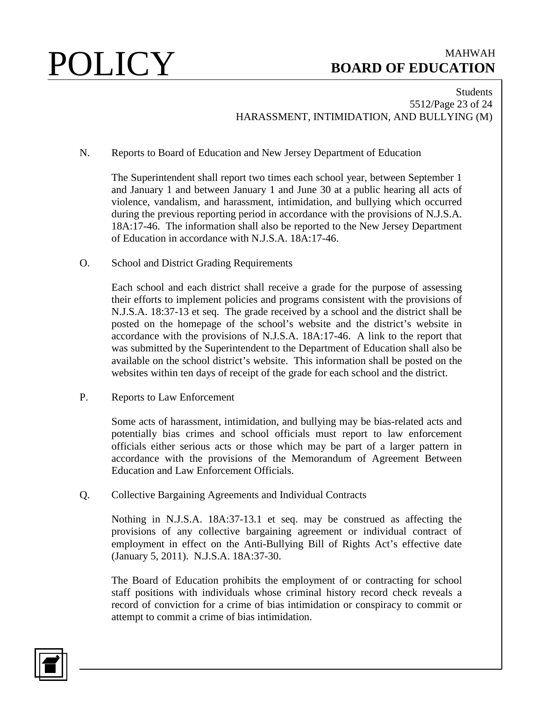### Students 5512/Page 23 of 24 HARASSMENT, INTIMIDATION, AND BULLYING (M)

N. Reports to Board of Education and New Jersey Department of Education

The Superintendent shall report two times each school year, between September 1 and January 1 and between January 1 and June 30 at a public hearing all acts of violence, vandalism, and harassment, intimidation, and bullying which occurred during the previous reporting period in accordance with the provisions of N.J.S.A. 18A:17-46. The information shall also be reported to the New Jersey Department of Education in accordance with N.J.S.A. 18A:17-46.

O. School and District Grading Requirements

Each school and each district shall receive a grade for the purpose of assessing their efforts to implement policies and programs consistent with the provisions of N.J.S.A. 18:37-13 et seq. The grade received by a school and the district shall be posted on the homepage of the school's website and the district's website in accordance with the provisions of N.J.S.A. 18A:17-46. A link to the report that was submitted by the Superintendent to the Department of Education shall also be available on the school district's website. This information shall be posted on the websites within ten days of receipt of the grade for each school and the district.

P. Reports to Law Enforcement

Some acts of harassment, intimidation, and bullying may be bias-related acts and potentially bias crimes and school officials must report to law enforcement officials either serious acts or those which may be part of a larger pattern in accordance with the provisions of the Memorandum of Agreement Between Education and Law Enforcement Officials.

Q. Collective Bargaining Agreements and Individual Contracts

Nothing in N.J.S.A. 18A:37-13.1 et seq. may be construed as affecting the provisions of any collective bargaining agreement or individual contract of employment in effect on the Anti-Bullying Bill of Rights Act's effective date (January 5, 2011). N.J.S.A. 18A:37-30.

The Board of Education prohibits the employment of or contracting for school staff positions with individuals whose criminal history record check reveals a record of conviction for a crime of bias intimidation or conspiracy to commit or attempt to commit a crime of bias intimidation.